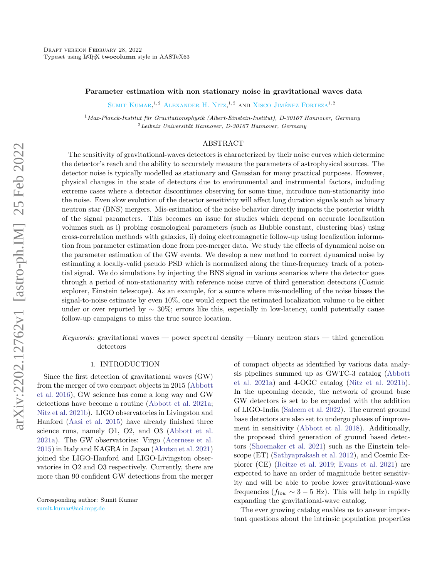# Parameter estimation with non stationary noise in gravitational waves data

SUMIT KUMAR.<sup>1,2</sup> ALEXANDER H. NITZ<sup>1,2</sup> AND XISCO JIMÉNEZ FORTEZA<sup>1,2</sup>

 $1$ Max-Planck-Institut für Gravitationsphysik (Albert-Einstein-Institut), D-30167 Hannover, Germany  ${}^{2}$ Leibniz Universität Hannover, D-30167 Hannover, Germany

#### ABSTRACT

The sensitivity of gravitational-waves detectors is characterized by their noise curves which determine the detector's reach and the ability to accurately measure the parameters of astrophysical sources. The detector noise is typically modelled as stationary and Gaussian for many practical purposes. However, physical changes in the state of detectors due to environmental and instrumental factors, including extreme cases where a detector discontinues observing for some time, introduce non-stationarity into the noise. Even slow evolution of the detector sensitivity will affect long duration signals such as binary neutron star (BNS) mergers. Mis-estimation of the noise behavior directly impacts the posterior width of the signal parameters. This becomes an issue for studies which depend on accurate localization volumes such as i) probing cosmological parameters (such as Hubble constant, clustering bias) using cross-correlation methods with galaxies, ii) doing electromagnetic follow-up using localization information from parameter estimation done from pre-merger data. We study the effects of dynamical noise on the parameter estimation of the GW events. We develop a new method to correct dynamical noise by estimating a locally-valid pseudo PSD which is normalized along the time-frequency track of a potential signal. We do simulations by injecting the BNS signal in various scenarios where the detector goes through a period of non-stationarity with reference noise curve of third generation detectors (Cosmic explorer, Einstein telescope). As an example, for a source where mis-modelling of the noise biases the signal-to-noise estimate by even 10%, one would expect the estimated localization volume to be either under or over reported by  $\sim 30\%$ ; errors like this, especially in low-latency, could potentially cause follow-up campaigns to miss the true source location.

Keywords: gravitational waves — power spectral density —binary neutron stars — third generation detectors

#### 1. INTRODUCTION

Since the first detection of gravitational waves (GW) from the merger of two compact objects in 2015 [\(Abbott](#page-9-0) [et al.](#page-9-0) [2016\)](#page-9-0), GW science has come a long way and GW detections have become a routine [\(Abbott et al.](#page-9-1) [2021a;](#page-9-1) [Nitz et al.](#page-9-2) [2021b\)](#page-9-2). LIGO observatories in Livingston and Hanford [\(Aasi et al.](#page-9-3) [2015\)](#page-9-3) have already finished three science runs, namely O1, O2, and O3 [\(Abbott et al.](#page-9-1) [2021a\)](#page-9-1). The GW observatories: Virgo [\(Acernese et al.](#page-9-4) [2015\)](#page-9-4) in Italy and KAGRA in Japan [\(Akutsu et al.](#page-9-5) [2021\)](#page-9-5) joined the LIGO-Hanford and LIGO-Livingston observatories in O2 and O3 respectively. Currently, there are more than 90 confident GW detections from the merger of compact objects as identified by various data analysis pipelines summed up as GWTC-3 catalog [\(Abbott](#page-9-1) [et al.](#page-9-1) [2021a\)](#page-9-1) and 4-OGC catalog [\(Nitz et al.](#page-9-2) [2021b\)](#page-9-2). In the upcoming decade, the network of ground base GW detectors is set to be expanded with the addition of LIGO-India [\(Saleem et al.](#page-9-6) [2022\)](#page-9-6). The current ground base detectors are also set to undergo phases of improvement in sensitivity [\(Abbott et al.](#page-9-7) [2018\)](#page-9-7). Additionally, the proposed third generation of ground based detectors [\(Shoemaker et al.](#page-9-8) [2021\)](#page-9-8) such as the Einstein telescope (ET) [\(Sathyaprakash et al.](#page-9-9) [2012\)](#page-9-9), and Cosmic Explorer (CE) [\(Reitze et al.](#page-9-10) [2019;](#page-9-10) [Evans et al.](#page-9-11) [2021\)](#page-9-11) are expected to have an order of magnitude better sensitivity and will be able to probe lower gravitational-wave frequencies ( $f_{low} \sim 3 - 5$  Hz). This will help in rapidly expanding the gravitational-wave catalog.

The ever growing catalog enables us to answer important questions about the intrinsic population properties

Corresponding author: Sumit Kumar [sumit.kumar@aei.mpg.de](mailto: sumit.kumar@aei.mpg.de)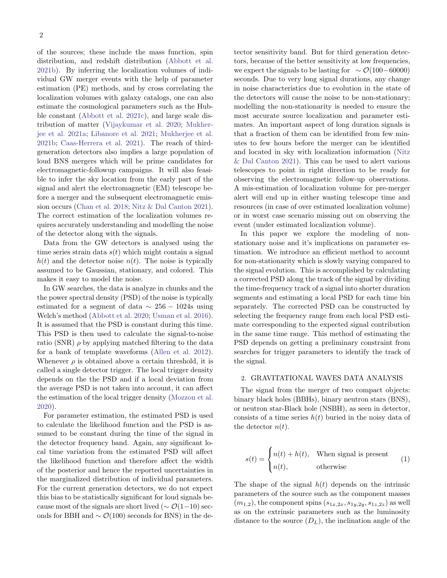of the sources; these include the mass function, spin distribution, and redshift distribution [\(Abbott et al.](#page-9-12) [2021b\)](#page-9-12). By inferring the localization volumes of individual GW merger events with the help of parameter estimation (PE) methods, and by cross correlating the localization volumes with galaxy catalogs, one can also estimate the cosmological parameters such as the Hubble constant [\(Abbott et al.](#page-9-13) [2021c\)](#page-9-13), and large scale distribution of matter [\(Vijaykumar et al.](#page-9-14) [2020;](#page-9-14) [Mukher](#page-9-15)[jee et al.](#page-9-15) [2021a;](#page-9-15) [Libanore et al.](#page-9-16) [2021;](#page-9-16) [Mukherjee et al.](#page-9-17) [2021b;](#page-9-17) [Caas-Herrera et al.](#page-9-18) [2021\)](#page-9-18). The reach of thirdgeneration detectors also implies a large population of loud BNS mergers which will be prime candidates for electromagnetic-followup campaigns. It will also feasible to infer the sky location from the early part of the signal and alert the electromagnetic (EM) telescope before a merger and the subsequent electromagnetic emission occurs [\(Chan et al.](#page-9-19) [2018;](#page-9-19) [Nitz & Dal Canton](#page-9-20) [2021\)](#page-9-20). The correct estimation of the localization volumes requires accurately understanding and modelling the noise of the detector along with the signals.

Data from the GW detectors is analysed using the time series strain data  $s(t)$  which might contain a signal  $h(t)$  and the detector noise  $n(t)$ . The noise is typically assumed to be Gaussian, stationary, and colored. This makes it easy to model the noise.

In GW searches, the data is analyze in chunks and the the power spectral density (PSD) of the noise is typically estimated for a segment of data  $\sim 256 - 1024$ s using Welch's method [\(Abbott et al.](#page-9-21) [2020;](#page-9-21) [Usman et al.](#page-9-22) [2016\)](#page-9-22). It is assumed that the PSD is constant during this time. This PSD is then used to calculate the signal-to-noise ratio (SNR)  $\rho$  by applying matched filtering to the data for a bank of template waveforms [\(Allen et al.](#page-9-23) [2012\)](#page-9-23). Whenever  $\rho$  is obtained above a certain threshold, it is called a single detector trigger. The local trigger density depends on the the PSD and if a local deviation from the average PSD is not taken into account, it can affect the estimation of the local trigger density [\(Mozzon et al.](#page-9-24) [2020\)](#page-9-24).

For parameter estimation, the estimated PSD is used to calculate the likelihood function and the PSD is assumed to be constant during the time of the signal in the detector frequency band. Again, any significant local time variation from the estimated PSD will affect the likelihood function and therefore affect the width of the posterior and hence the reported uncertainties in the marginalized distribution of individual parameters. For the current generation detectors, we do not expect this bias to be statistically significant for loud signals because most of the signals are short lived ( $\sim \mathcal{O}(1-10)$  seconds for BBH and  $\sim \mathcal{O}(100)$  seconds for BNS) in the detector sensitivity band. But for third generation detectors, because of the better sensitivity at low frequencies, we expect the signals to be lasting for  $\sim \mathcal{O}(100-60000)$ seconds. Due to very long signal durations, any change in noise characteristics due to evolution in the state of the detectors will cause the noise to be non-stationary; modelling the non-stationarity is needed to ensure the most accurate source localization and parameter estimates. An important aspect of long duration signals is that a fraction of them can be identified from few minutes to few hours before the merger can be identified and located in sky with localization information [\(Nitz](#page-9-20) [& Dal Canton](#page-9-20) [2021\)](#page-9-20). This can be used to alert various telescopes to point in right direction to be ready for observing the electromagnetic follow-up observations. A mis-estimation of localization volume for pre-merger alert will end up in either wasting telescope time and resources (in case of over estimated localization volume) or in worst case scenario missing out on observing the event (under estimated localization volume).

In this paper we explore the modeling of nonstationary noise and it's implications on parameter estimation. We introduce an efficient method to account for non-stationarity which is slowly varying compared to the signal evolution. This is accomplished by calculating a corrected PSD along the track of the signal by dividing the time-frequency track of a signal into shorter duration segments and estimating a local PSD for each time bin separately. The corrected PSD can be constructed by selecting the frequency range from each local PSD estimate corresponding to the expected signal contribution in the same time range. This method of estimating the PSD depends on getting a preliminary constraint from searches for trigger parameters to identify the track of the signal.

# 2. GRAVITATIONAL WAVES DATA ANALYSIS

The signal from the merger of two compact objects: binary black holes (BBHs), binary neutron stars (BNS), or neutron star-Black hole (NSBH), as seen in detector, consists of a time series  $h(t)$  buried in the noisy data of the detector  $n(t)$ .

$$
s(t) = \begin{cases} n(t) + h(t), & \text{When signal is present} \\ n(t), & \text{otherwise} \end{cases}
$$
 (1)

The shape of the signal  $h(t)$  depends on the intrinsic parameters of the source such as the component masses  $(m_{1,2})$ , the component spins  $(s_{1x,2x}, s_{1y,2y}, s_{1z,2z})$  as well as on the extrinsic parameters such as the luminosity distance to the source  $(D_L)$ , the inclination angle of the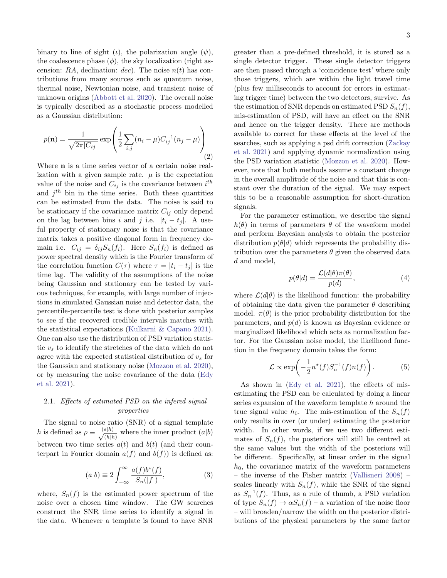binary to line of sight (*ι*), the polarization angle ( $\psi$ ), the coalescence phase  $(\phi)$ , the sky localization (right ascension: RA, declination: dec). The noise  $n(t)$  has contributions from many sources such as quantum noise, thermal noise, Newtonian noise, and transient noise of unknown origins [\(Abbott et al.](#page-9-21) [2020\)](#page-9-21). The overall noise is typically described as a stochastic process modelled as a Gaussian distribution:

$$
p(\mathbf{n}) = \frac{1}{\sqrt{2\pi |C_{ij}|}} \exp\left(\frac{1}{2}\sum_{i,j} (n_i - \mu) C_{ij}^{-1} (n_j - \mu)\right)
$$
(2)

Where n is a time series vector of a certain noise realization with a given sample rate.  $\mu$  is the expectation value of the noise and  $C_{ij}$  is the covariance between  $i^{th}$ and  $j^{th}$  bin in the time series. Both these quantities can be estimated from the data. The noise is said to be stationary if the covariance matrix  $C_{ij}$  only depend on the lag between bins i and j i.e.  $|t_i - t_j|$ . A useful property of stationary noise is that the covariance matrix takes a positive diagonal form in frequency domain i.e.  $C_{ij} = \delta_{ij} S_n(f_i)$ . Here  $S_n(f_i)$  is defined as power spectral density which is the Fourier transform of the correlation function  $C(\tau)$  where  $\tau = |t_i - t_j|$  is the time lag. The validity of the assumptions of the noise being Gaussian and stationary can be tested by various techniques, for example, with large number of injections in simulated Gaussian noise and detector data, the percentile-percentile test is done with posterior samples to see if the recovered credible intervals matches with the statistical expectations [\(Kulkarni & Capano](#page-9-25) [2021\)](#page-9-25). One can also use the distribution of PSD variation statistic  $v<sub>s</sub>$  to identify the stretches of the data which do not agree with the expected statistical distribution of  $v<sub>s</sub>$  for the Gaussian and stationary noise [\(Mozzon et al.](#page-9-24) [2020\)](#page-9-24), or by measuring the noise covariance of the data [\(Edy](#page-9-26) [et al.](#page-9-26) [2021\)](#page-9-26).

# 2.1. Effects of estimated PSD on the infered signal properties

The signal to noise ratio (SNR) of a signal template h is defined as  $\rho \equiv \frac{(s|h)}{(s|h)}$  $\frac{s|h|}{(h|h)}$  where the inner product  $(a|b)$ between two time series  $a(t)$  and  $b(t)$  (and their counterpart in Fourier domain  $a(f)$  and  $b(f)$ ) is defined as:

$$
(a|b) \equiv 2 \int_{-\infty}^{\infty} \frac{a(f)b^*(f)}{S_n(|f|)}, \tag{3}
$$

where,  $S_n(f)$  is the estimated power spectrum of the noise over a chosen time window. The GW searches construct the SNR time series to identify a signal in the data. Whenever a template is found to have SNR

greater than a pre-defined threshold, it is stored as a single detector trigger. These single detector triggers are then passed through a 'coincidence test' where only those triggers, which are within the light travel time (plus few milliseconds to account for errors in estimating trigger time) between the two detectors, survive. As the estimation of SNR depends on estimated PSD  $S_n(f)$ , mis-estimation of PSD, will have an effect on the SNR and hence on the trigger density. There are methods available to correct for these effects at the level of the searches, such as applying a psd drift correction [\(Zackay](#page-10-0) [et al.](#page-10-0) [2021\)](#page-10-0) and applying dynamic normalization using the PSD variation statistic [\(Mozzon et al.](#page-9-24) [2020\)](#page-9-24). However, note that both methods assume a constant change in the overall amplitude of the noise and that this is constant over the duration of the signal. We may expect this to be a reasonable assumption for short-duration signals.

For the parameter estimation, we describe the signal  $h(\theta)$  in terms of parameters  $\theta$  of the waveform model and perform Bayesian analysis to obtain the posterior distribution  $p(\theta|d)$  which represents the probability distribution over the parameters  $\theta$  given the observed data d and model,

<span id="page-2-1"></span>
$$
p(\theta|d) = \frac{\mathcal{L}(d|\theta)\pi(\theta)}{p(d)},
$$
\n(4)

where  $\mathcal{L}(d|\theta)$  is the likelihood function: the probability of obtaining the data given the parameter  $\theta$  describing model.  $\pi(\theta)$  is the prior probability distribution for the parameters, and  $p(d)$  is known as Bayesian evidence or marginalized likelihood which acts as normalization factor. For the Gaussian noise model, the likelihood function in the frequency domain takes the form:

<span id="page-2-0"></span>
$$
\mathcal{L} \propto \exp\left(-\frac{1}{2}n^*(f)S_n^{-1}(f)n(f)\right). \tag{5}
$$

As shown in [\(Edy et al.](#page-9-26) [2021\)](#page-9-26), the effects of misestimating the PSD can be calculated by doing a linear series expansion of the waveform template  $h$  around the true signal value  $h_0$ . The mis-estimation of the  $S_n(f)$ only results in over (or under) estimating the posterior width. In other words, if we use two different estimates of  $S_n(f)$ , the posteriors will still be centred at the same values but the width of the posteriors will be different. Specifically, at linear order in the signal  $h_0$ , the covariance matrix of the waveform parameters – the inverse of the Fisher matrix [\(Vallisneri](#page-9-27) [2008\)](#page-9-27) – scales linearly with  $S_n(f)$ , while the SNR of the signal as  $S_n^{-1}(f)$ . Thus, as a rule of thumb, a PSD variation of type  $S_n(f) \to \alpha S_n(f)$  – a variation of the noise floor – will broaden/narrow the width on the posterior distributions of the physical parameters by the same factor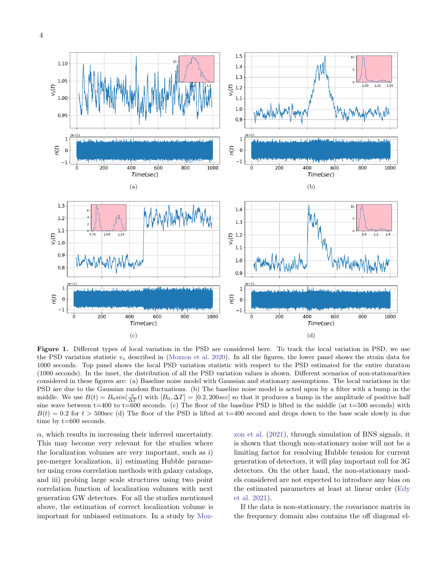

Figure 1. Different types of local variation in the PSD are considered here. To track the local variation in PSD, we use the PSD variation statistic  $v_s$  described in [\(Mozzon et al.](#page-9-24) [2020\)](#page-9-24). In all the figures, the lower panel shows the strain data for 1000 seconds. Top panel shows the local PSD variation statistic with respect to the PSD estimated for the entire duration (1000 seconds). In the inset, the distribution of all the PSD variation values is shown. Different scenarios of non-stationarities considered in these figures are: (a) Baseline noise model with Gaussian and stationary assumptions. The local variations in the PSD are due to the Gaussian random fluctuations. (b) The baseline noise model is acted upon by a filter with a bump in the middle. We use  $B(t) = B_0 \sin(\frac{\pi}{\Delta T}t)$  with  $[B_0, \Delta T] = [0.2, 200 \text{sec}]$  so that it produces a bump in the amplitude of positive half sine wave between  $t=400$  to  $t=600$  seconds. (c) The floor of the baseline PSD is lifted in the middle (at  $t=500$  seconds) with  $B(t) = 0.2$  for  $t > 500$  sec (d) The floor of the PSD is lifted at t=400 second and drops down to the base scale slowly in due time by t=600 seconds.

 $\alpha$ , which results in increasing their inferred uncertainty. This may become very relevant for the studies where the localization volumes are very important, such as i) pre-merger localization, ii) estimating Hubble parameter using cross correlation methods with galaxy catalogs, and iii) probing large scale structures using two point correlation function of localization volumes with next generation GW detectors. For all the studies mentioned above, the estimation of correct localization volume is important for unbiased estimators. In a study by [Moz-](#page-9-28) [zon et al.](#page-9-28) [\(2021\)](#page-9-28), through simulation of BNS signals, it is shown that though non-stationary noise will not be a limiting factor for resolving Hubble tension for current generation of detectors, it will play important roll for 3G detectors. On the other hand, the non-stationary models considered are not expected to introduce any bias on the estimated parameters at least at linear order [\(Edy](#page-9-26) [et al.](#page-9-26) [2021\)](#page-9-26).

If the data is non-stationary, the covariance matrix in the frequency domain also contains the off diagonal el-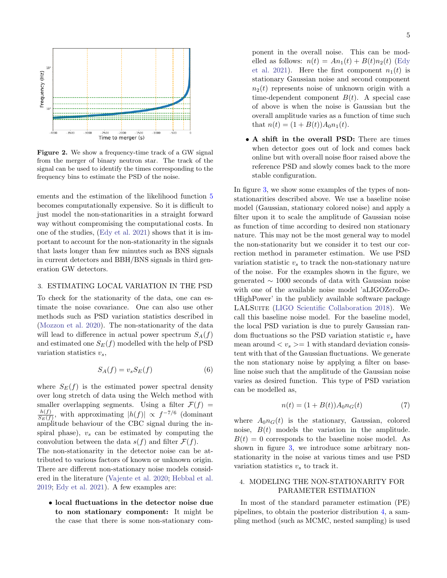

<span id="page-4-0"></span>Figure 2. We show a frequency-time track of a GW signal from the merger of binary neutron star. The track of the signal can be used to identify the times corresponding to the frequency bins to estimate the PSD of the noise.

ements and the estimation of the likelihood function [5](#page-2-0) becomes computationally expensive. So it is difficult to just model the non-stationarities in a straight forward way without compromising the computational costs. In one of the studies, [\(Edy et al.](#page-9-26) [2021\)](#page-9-26) shows that it is important to account for the non-stationarity in the signals that lasts longer than few minutes such as BNS signals in current detectors and BBH/BNS signals in third generation GW detectors.

# 3. ESTIMATING LOCAL VARIATION IN THE PSD

To check for the stationarity of the data, one can estimate the noise covariance. One can also use other methods such as PSD variation statistics described in [\(Mozzon et al.](#page-9-24) [2020\)](#page-9-24). The non-stationarity of the data will lead to difference in actual power spectrum  $S<sub>A</sub>(f)$ and estimated one  $S_E(f)$  modelled with the help of PSD variation statistics  $v_s$ ,

$$
S_A(f) = v_s S_E(f) \tag{6}
$$

where  $S_E(f)$  is the estimated power spectral density over long stretch of data using the Welch method with smaller overlapping segments. Using a filter  $\mathcal{F}(f)$  =  $h(f)$  $\frac{h(f)}{S_E(f)}$ , with approximating  $|h(f)| \propto f^{-7/6}$  (dominant amplitude behaviour of the CBC signal during the inspiral phase),  $v_s$  can be estimated by computing the convolution between the data  $s(f)$  and filter  $\mathcal{F}(f)$ .

The non-stationarity in the detector noise can be attributed to various factors of known or unknown origin. There are different non-stationary noise models considered in the literature [\(Vajente et al.](#page-9-29) [2020;](#page-9-29) [Hebbal et al.](#page-9-30) [2019;](#page-9-30) [Edy et al.](#page-9-26) [2021\)](#page-9-26). A few examples are:

• local fluctuations in the detector noise due to non stationary component: It might be the case that there is some non-stationary com-

ponent in the overall noise. This can be modelled as follows:  $n(t) = An_1(t) + B(t)n_2(t)$  [\(Edy](#page-9-26) [et al.](#page-9-26) [2021\)](#page-9-26). Here the first component  $n_1(t)$  is stationary Gaussian noise and second component  $n_2(t)$  represents noise of unknown origin with a time-dependent component  $B(t)$ . A special case of above is when the noise is Gaussian but the overall amplitude varies as a function of time such that  $n(t) = (1 + B(t))A_0n_1(t)$ .

• A shift in the overall PSD: There are times when detector goes out of lock and comes back online but with overall noise floor raised above the reference PSD and slowly comes back to the more stable configuration.

In figure [3,](#page-6-0) we show some examples of the types of nonstationarities described above. We use a baseline noise model (Gaussian, stationary colored noise) and apply a filter upon it to scale the amplitude of Gaussian noise as function of time according to desired non stationary nature. This may not be the most general way to model the non-stationarity but we consider it to test our correction method in parameter estimation. We use PSD variation statistic  $v<sub>s</sub>$  to track the non-stationary nature of the noise. For the examples shown in the figure, we generated  $\sim$  1000 seconds of data with Gaussian noise with one of the available noise model 'aLIGOZeroDetHighPower' in the publicly available software package LALSUITE [\(LIGO Scientific Collaboration](#page-9-31) [2018\)](#page-9-31). We call this baseline noise model. For the baseline model, the local PSD variation is due to purely Gaussian random fluctuations so the PSD variation statistic  $v<sub>s</sub>$  have mean around  $\langle v_s \rangle = 1$  with standard deviation consistent with that of the Gaussian fluctuations. We generate the non stationary noise by applying a filter on baseline noise such that the amplitude of the Gaussian noise varies as desired function. This type of PSD variation can be modelled as,

<span id="page-4-1"></span>
$$
n(t) = (1 + B(t))A_0 n_G(t)
$$
\n(7)

where  $A_0 n_G(t)$  is the stationary, Gaussian, colored noise,  $B(t)$  models the variation in the amplitude.  $B(t) = 0$  corresponds to the baseline noise model. As shown in figure [3,](#page-6-0) we introduce some arbitrary nonstationarity in the noise at various times and use PSD variation statistics  $v<sub>s</sub>$  to track it.

# 4. MODELING THE NON-STATIONARITY FOR PARAMETER ESTIMATION

In most of the standard parameter estimation (PE) pipelines, to obtain the posterior distribution [4,](#page-2-1) a sampling method (such as MCMC, nested sampling) is used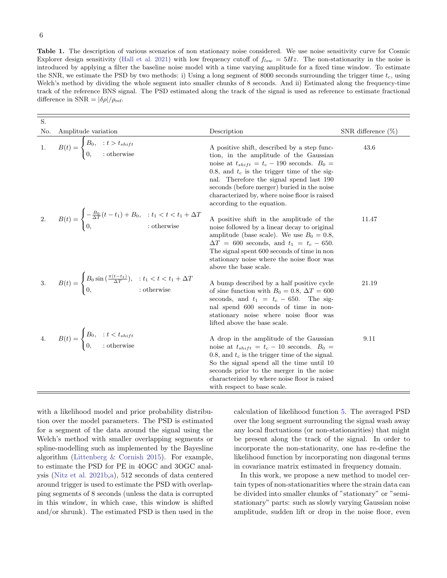<span id="page-5-0"></span>Table 1. The description of various scenarios of non stationary noise considered. We use noise sensitivity curve for Cosmic Explorer design sensitivity [\(Hall et al.](#page-9-32) [2021\)](#page-9-32) with low frequency cutoff of  $f_{low} = 5Hz$ . The non-stationarity in the noise is introduced by applying a filter the baseline noise model with a time varying amplitude for a fixed time window. To estimate the SNR, we estimate the PSD by two methods: i) Using a long segment of 8000 seconds surrounding the trigger time  $t_c$ , using Welch's method by dividing the whole segment into smaller chunks of 8 seconds. And ii) Estimated along the frequency-time track of the reference BNS signal. The PSD estimated along the track of the signal is used as reference to estimate fractional difference in  $SNR = |\delta \rho|/\rho_{ref}$ .

| S.  |                                                                                                                                          |                                                                                                                                                                                                                                                                                                                          |                       |
|-----|------------------------------------------------------------------------------------------------------------------------------------------|--------------------------------------------------------------------------------------------------------------------------------------------------------------------------------------------------------------------------------------------------------------------------------------------------------------------------|-----------------------|
| No. | Amplitude variation                                                                                                                      | Description                                                                                                                                                                                                                                                                                                              | SNR difference $(\%)$ |
| 1.  | $\overline{B(t)} = \begin{cases} B_0, & \text{: } t > t_{shift} \\ 0, & \text{: otherwise} \end{cases}$                                  | A positive shift, described by a step func-<br>tion, in the amplitude of the Gaussian<br>noise at $t_{shift} = t_c - 190$ seconds. $B_0 =$<br>0.8, and $t_c$ is the trigger time of the sig-                                                                                                                             | 43.6                  |
|     |                                                                                                                                          | nal. Therefore the signal spend last 190<br>seconds (before merger) buried in the noise<br>characterized by, where noise floor is raised<br>according to the equation.                                                                                                                                                   |                       |
| 2.  | $B(t) = \begin{cases} -\frac{B_0}{\Delta T}(t - t_1) + B_0, & \text{: } t_1 < t < t_1 + \Delta T \\ 0, & \text{: otherwise} \end{cases}$ | A positive shift in the amplitude of the<br>noise followed by a linear decay to original<br>amplitude (base scale). We use $B_0 = 0.8$ ,<br>$\Delta T = 600$ seconds, and $t_1 = t_c - 650$ .<br>The signal spent 600 seconds of time in non<br>stationary noise where the noise floor was<br>above the base scale.      | 11.47                 |
| 3.  | $B(t) = \begin{cases} B_0 \sin(\frac{\pi(t-t_1)}{\Delta T}), & : t_1 < t < t_1 + \Delta T \\ 0, & : \text{otherwise} \end{cases}$        | A bump described by a half positive cycle<br>of sine function with $B_0 = 0.8$ , $\Delta T = 600$<br>seconds, and $t_1 = t_c - 650$ . The sig-<br>nal spend 600 seconds of time in non-<br>stationary noise where noise floor was<br>lifted above the base scale.                                                        | 21.19                 |
|     | 4. $B(t) = \begin{cases} B_0, & \text{: } t < t_{shift} \\ 0, & \text{: otherwise} \end{cases}$                                          | A drop in the amplitude of the Gaussian<br>noise at $t_{shift} = t_c - 10$ seconds. $B_0 =$<br>0.8, and $t_c$ is the trigger time of the signal.<br>So the signal spend all the time until 10<br>seconds prior to the merger in the noise<br>characterized by where noise floor is raised<br>with respect to base scale. | 9.11                  |

with a likelihood model and prior probability distribution over the model parameters. The PSD is estimated for a segment of the data around the signal using the Welch's method with smaller overlapping segments or spline-modelling such as implemented by the Bayesline algorithm [\(Littenberg & Cornish](#page-9-33) [2015\)](#page-9-33). For example, to estimate the PSD for PE in 4OGC and 3OGC analysis [\(Nitz et al.](#page-9-2) [2021b,](#page-9-2)[a\)](#page-9-34), 512 seconds of data centered around trigger is used to estimate the PSD with overlapping segments of 8 seconds (unless the data is corrupted in this window, in which case, this window is shifted and/or shrunk). The estimated PSD is then used in the calculation of likelihood function [5.](#page-2-0) The averaged PSD over the long segment surrounding the signal wash away any local fluctuations (or non-stationarities) that might be present along the track of the signal. In order to incorporate the non-stationarity, one has re-define the likelihood function by incorporating non diagonal terms in covariance matrix estimated in frequency domain.

In this work, we propose a new method to model certain types of non-stationarities where the strain data can be divided into smaller chunks of "stationary" or "semistationary" parts: such as slowly varying Gaussian noise amplitude, sudden lift or drop in the noise floor, even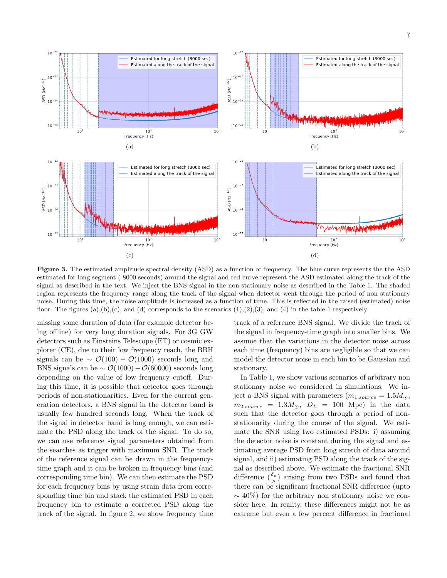

<span id="page-6-0"></span>Figure 3. The estimated amplitude spectral density (ASD) as a function of frequency. The blue curve represents the the ASD estimated for long segment ( 8000 seconds) around the signal and red curve represent the ASD estimated along the track of the signal as described in the text. We inject the BNS signal in the non stationary noise as described in the Table [1.](#page-5-0) The shaded region represents the frequency range along the track of the signal when detector went through the period of non stationary noise. During this time, the noise amplitude is increased as a function of time. This is reflected in the raised (estimated) noise floor. The figures  $(a),(b),(c)$ , and  $(d)$  corresponds to the scenarios  $(1),(2),(3)$  $(1),(2),(3)$  $(1),(2),(3)$ , and  $(4)$  in the table 1 respectively

missing some duration of data (for example detector being offline) for very long duration signals. For 3G GW detectors such as Einsteins Telescope (ET) or cosmic explorer (CE), due to their low frequency reach, the BBH signals can be  $\sim \mathcal{O}(100) - \mathcal{O}(1000)$  seconds long and BNS signals can be  $\sim \mathcal{O}(1000) - \mathcal{O}(60000)$  seconds long depending on the value of low frequency cutoff. During this time, it is possible that detector goes through periods of non-stationarities. Even for the current generation detectors, a BNS signal in the detector band is usually few hundred seconds long. When the track of the signal in detector band is long enough, we can estimate the PSD along the track of the signal. To do so, we can use reference signal parameters obtained from the searches as trigger with maximum SNR. The track of the reference signal can be drawn in the frequencytime graph and it can be broken in frequency bins (and corresponding time bin). We can then estimate the PSD for each frequency bins by using strain data from corresponding time bin and stack the estimated PSD in each frequency bin to estimate a corrected PSD along the track of the signal. In figure [2,](#page-4-0) we show frequency time

track of a reference BNS signal. We divide the track of the signal in frequency-time graph into smaller bins. We assume that the variations in the detector noise across each time (frequency) bins are negligible so that we can model the detector noise in each bin to be Gaussian and stationary.

In Table [1,](#page-5-0) we show various scenarios of arbitrary non stationary noise we considered in simulations. We inject a BNS signal with parameters  $(m_{1,source} = 1.5M_{\odot},$  $m_{2,source}$  = 1.3 $M_{\odot}$ ,  $D_L$  = 100 Mpc) in the data such that the detector goes through a period of nonstationarity during the course of the signal. We estimate the SNR using two estimated PSDs: i) assuming the detector noise is constant during the signal and estimating average PSD from long stretch of data around signal, and ii) estimating PSD along the track of the signal as described above. We estimate the fractional SNR difference  $(\frac{\delta_{\rho}}{\rho})$  arising from two PSDs and found that there can be significant fractional SNR difference (upto  $\sim$  40%) for the arbitrary non stationary noise we consider here. In reality, these differences might not be as extreme but even a few percent difference in fractional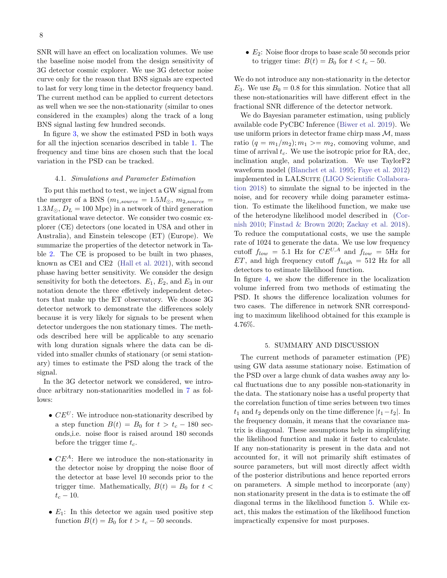SNR will have an effect on localization volumes. We use the baseline noise model from the design sensitivity of 3G detector cosmic explorer. We use 3G detector noise curve only for the reason that BNS signals are expected to last for very long time in the detector frequency band. The current method can be applied to current detectors as well when we see the non-stationarity (similar to ones considered in the examples) along the track of a long BNS signal lasting few hundred seconds.

In figure [3,](#page-6-0) we show the estimated PSD in both ways for all the injection scenarios described in table [1.](#page-5-0) The frequency and time bins are chosen such that the local variation in the PSD can be tracked.

#### 4.1. Simulations and Parameter Estimation

To put this method to test, we inject a GW signal from the merger of a BNS  $(m_{1,source} = 1.5M_{\odot}, m_{2,source} =$  $1.3M_{\odot}$ ,  $D_L = 100$  Mpc) in a network of third generation gravitational wave detector. We consider two cosmic explorer (CE) detectors (one located in USA and other in Australia), and Einstein telescope (ET) (Europe). We summarize the properties of the detector network in Table [2.](#page-8-0) The CE is proposed to be built in two phases, known as CE1 and CE2 [\(Hall et al.](#page-9-32) [2021\)](#page-9-32), with second phase having better sensitivity. We consider the design sensitivity for both the detectors.  $E_1, E_2$ , and  $E_3$  in our notation denote the three effetively independent detectors that make up the ET observatory. We choose 3G detector network to demonstrate the differences solely because it is very likely for signals to be present when detector undergoes the non stationary times. The methods described here will be applicable to any scenario with long duration signals where the data can be divided into smaller chunks of stationary (or semi stationary) times to estimate the PSD along the track of the signal.

In the 3G detector network we considered, we introduce arbitrary non-stationarities modelled in [7](#page-4-1) as follows:

- $CE^U$ : We introduce non-stationarity described by a step function  $B(t) = B_0$  for  $t > t_c - 180$  seconds,i.e. noise floor is raised around 180 seconds before the trigger time  $t_c$ .
- $CE^A$ : Here we introduce the non-stationarity in the detector noise by dropping the noise floor of the detector at base level 10 seconds prior to the trigger time. Mathematically,  $B(t) = B_0$  for  $t <$  $t_c - 10$ .
- $E_1$ : In this detector we again used positive step function  $B(t) = B_0$  for  $t > t_c - 50$  seconds.

 $\bullet$   $E_2$ : Noise floor drops to base scale 50 seconds prior to trigger time:  $B(t) = B_0$  for  $t < t_c - 50$ .

We do not introduce any non-stationarity in the detector  $E_3$ . We use  $B_0 = 0.8$  for this simulation. Notice that all these non-stationarities will have different effect in the fractional SNR difference of the detector network.

We do Bayesian parameter estimation, using publicly available code PyCBC Inference [\(Biwer et al.](#page-9-35) [2019\)](#page-9-35). We use uniform priors in detector frame chirp mass  $M$ , mass ratio  $(q = m_1/m_2); m_1 \ge m_2$ , comoving volume, and time of arrival  $t_c$ . We use the isotropic prior for RA, dec, inclination angle, and polarization. We use TaylorF2 waveform model [\(Blanchet et al.](#page-9-36) [1995;](#page-9-36) [Faye et al.](#page-9-37) [2012\)](#page-9-37) implemented in LALSUITE [\(LIGO Scientific Collabora](#page-9-31)[tion](#page-9-31) [2018\)](#page-9-31) to simulate the signal to be injected in the noise, and for recovery while doing parameter estimation. To estimate the likelihood function, we make use of the heterodyne likelihood model described in [\(Cor](#page-9-38)[nish](#page-9-38) [2010;](#page-9-38) [Finstad & Brown](#page-9-39) [2020;](#page-9-39) [Zackay et al.](#page-10-1) [2018\)](#page-10-1). To reduce the computational costs, we use the sample rate of 1024 to generate the data. We use low frequency cutoff  $f_{low} = 5.1$  Hz for  $CE^{U,A}$  and  $f_{low} = 5$ Hz for ET, and high frequency cutoff  $f_{high} = 512$  Hz for all detectors to estimate likelihood function.

In figure [4,](#page-8-1) we show the difference in the localization volume inferred from two methods of estimating the PSD. It shows the difference localization volumes for two cases. The difference in network SNR corresponding to maximum likelihood obtained for this example is 4.76%.

### 5. SUMMARY AND DISCUSSION

The current methods of parameter estimation (PE) using GW data assume stationary noise. Estimation of the PSD over a large chunk of data washes away any local fluctuations due to any possible non-stationarity in the data. The stationary noise has a useful property that the correlation function of time series between two times  $t_1$  and  $t_2$  depends only on the time difference  $|t_1-t_2|$ . In the frequency domain, it means that the covariance matrix is diagonal. These assumptions help in simplifying the likelihood function and make it faster to calculate. If any non-stationarity is present in the data and not accounted for, it will not primarily shift estimates of source parameters, but will most directly affect width of the posterior distributions and hence reported errors on parameters. A simple method to incorporate (any) non stationarity present in the data is to estimate the off diagonal terms in the likelihood function [5.](#page-2-0) While exact, this makes the estimation of the likelihood function impractically expensive for most purposes.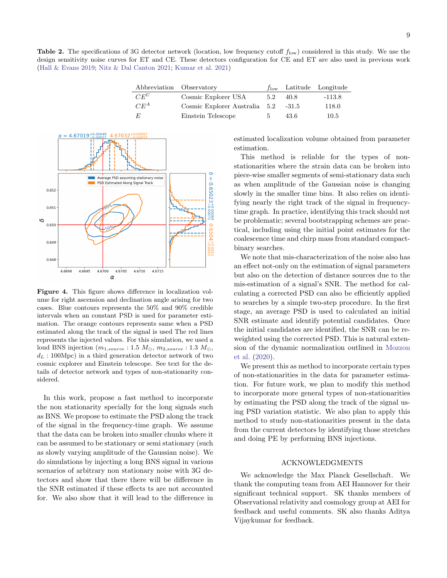<span id="page-8-0"></span>**Table 2.** The specifications of 3G detector network (location, low frequency cutoff  $f_{low}$ ) considered in this study. We use the design sensitivity noise curves for ET and CE. These detectors configuration for CE and ET are also used in previous work [\(Hall & Evans](#page-9-40) [2019;](#page-9-40) [Nitz & Dal Canton](#page-9-20) [2021;](#page-9-20) [Kumar et al.](#page-9-41) [2021\)](#page-9-41)

| Abbreviation Observatory |                               |     |         | $f_{\text{low}}$ Latitude Longitude |
|--------------------------|-------------------------------|-----|---------|-------------------------------------|
| $CE^U$                   | Cosmic Explorer USA           | 5.2 | 40.8    | -113.8                              |
| $CE^A$                   | Cosmic Explorer Australia 5.2 |     | $-31.5$ | 118.0                               |
| E                        | Einstein Telescope            | 5   | 43.6    | 10.5                                |



<span id="page-8-1"></span>Figure 4. This figure shows difference in localization volume for right ascension and declination angle arising for two cases. Blue contours represents the 50% and 90% credible intervals when an constant PSD is used for parameter estimation. The orange contours represents same when a PSD estimated along the track of the signal is used The red lines represents the injected values. For this simulation, we used a loud BNS injection  $(m_{1,source}: 1.5 M_{\odot}, m_{2,source}: 1.3 M_{\odot},$  $d_L$ : 100Mpc) in a third generation detector network of two cosmic explorer and Einstein telescope. See text for the details of detector network and types of non-stationarity considered.

In this work, propose a fast method to incorporate the non stationarity specially for the long signals such as BNS. We propose to estimate the PSD along the track of the signal in the frequency-time graph. We assume that the data can be broken into smaller chunks where it can be assumed to be stationary or semi stationary (such as slowly varying amplitude of the Gaussian noise). We do simulations by injecting a long BNS signal in various scenarios of arbitrary non stationary noise with 3G detectors and show that there there will be difference in the SNR estimated if these effects ts are not accounted for. We also show that it will lead to the difference in estimated localization volume obtained from parameter estimation.

This method is reliable for the types of nonstationarities where the strain data can be broken into piece-wise smaller segments of semi-stationary data such as when amplitude of the Gaussian noise is changing slowly in the smaller time bins. It also relies on identifying nearly the right track of the signal in frequencytime graph. In practice, identifying this track should not be problematic; several bootstrapping schemes are practical, including using the initial point estimates for the coalescence time and chirp mass from standard compactbinary searches.

We note that mis-characterization of the noise also has an effect not-only on the estimation of signal parameters but also on the detection of distance sources due to the mis-estimation of a signal's SNR. The method for calculating a corrected PSD can also be efficiently applied to searches by a simple two-step procedure. In the first stage, an average PSD is used to calculated an initial SNR estimate and identify potential candidates. Once the initial candidates are identified, the SNR can be reweighted using the corrected PSD. This is natural extension of the dynamic normalization outlined in [Mozzon](#page-9-24) [et al.](#page-9-24) [\(2020\)](#page-9-24).

We present this as method to incorporate certain types of non-stationarities in the data for parameter estimation. For future work, we plan to modify this method to incorporate more general types of non-stationarities by estimating the PSD along the track of the signal using PSD variation statistic. We also plan to apply this method to study non-stationarities present in the data from the current detectors by identifying those stretches and doing PE by performing BNS injections.

#### ACKNOWLEDGMENTS

We acknowledge the Max Planck Gesellschaft. We thank the computing team from AEI Hannover for their significant technical support. SK thanks members of Observational relativity and cosmology group at AEI for feedback and useful comments. SK also thanks Aditya Vijaykumar for feedback.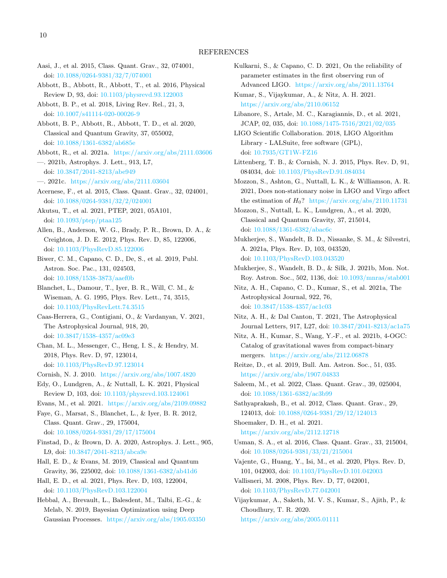- <span id="page-9-3"></span>Aasi, J., et al. 2015, Class. Quant. Grav., 32, 074001, doi: [10.1088/0264-9381/32/7/074001](http://doi.org/10.1088/0264-9381/32/7/074001)
- <span id="page-9-0"></span>Abbott, B., Abbott, R., Abbott, T., et al. 2016, Physical Review D, 93, doi: [10.1103/physrevd.93.122003](http://doi.org/10.1103/physrevd.93.122003)
- <span id="page-9-7"></span>Abbott, B. P., et al. 2018, Living Rev. Rel., 21, 3, doi: [10.1007/s41114-020-00026-9](http://doi.org/10.1007/s41114-020-00026-9)
- <span id="page-9-21"></span>Abbott, B. P., Abbott, R., Abbott, T. D., et al. 2020, Classical and Quantum Gravity, 37, 055002, doi: [10.1088/1361-6382/ab685e](http://doi.org/10.1088/1361-6382/ab685e)
- <span id="page-9-1"></span>Abbott, R., et al. 2021a. <https://arxiv.org/abs/2111.03606>
- <span id="page-9-12"></span>—. 2021b, Astrophys. J. Lett., 913, L7, doi: [10.3847/2041-8213/abe949](http://doi.org/10.3847/2041-8213/abe949)
- <span id="page-9-13"></span>—. 2021c. <https://arxiv.org/abs/2111.03604>
- <span id="page-9-4"></span>Acernese, F., et al. 2015, Class. Quant. Grav., 32, 024001, doi: [10.1088/0264-9381/32/2/024001](http://doi.org/10.1088/0264-9381/32/2/024001)
- <span id="page-9-5"></span>Akutsu, T., et al. 2021, PTEP, 2021, 05A101, doi: [10.1093/ptep/ptaa125](http://doi.org/10.1093/ptep/ptaa125)
- <span id="page-9-23"></span>Allen, B., Anderson, W. G., Brady, P. R., Brown, D. A., & Creighton, J. D. E. 2012, Phys. Rev. D, 85, 122006, doi: [10.1103/PhysRevD.85.122006](http://doi.org/10.1103/PhysRevD.85.122006)
- <span id="page-9-35"></span>Biwer, C. M., Capano, C. D., De, S., et al. 2019, Publ. Astron. Soc. Pac., 131, 024503, doi: [10.1088/1538-3873/aaef0b](http://doi.org/10.1088/1538-3873/aaef0b)
- <span id="page-9-36"></span>Blanchet, L., Damour, T., Iyer, B. R., Will, C. M., & Wiseman, A. G. 1995, Phys. Rev. Lett., 74, 3515, doi: [10.1103/PhysRevLett.74.3515](http://doi.org/10.1103/PhysRevLett.74.3515)
- <span id="page-9-18"></span>Caas-Herrera, G., Contigiani, O., & Vardanyan, V. 2021, The Astrophysical Journal, 918, 20, doi: [10.3847/1538-4357/ac09e3](http://doi.org/10.3847/1538-4357/ac09e3)
- <span id="page-9-19"></span>Chan, M. L., Messenger, C., Heng, I. S., & Hendry, M. 2018, Phys. Rev. D, 97, 123014, doi: [10.1103/PhysRevD.97.123014](http://doi.org/10.1103/PhysRevD.97.123014)
- <span id="page-9-38"></span>Cornish, N. J. 2010. <https://arxiv.org/abs/1007.4820>
- <span id="page-9-26"></span>Edy, O., Lundgren, A., & Nuttall, L. K. 2021, Physical Review D, 103, doi: [10.1103/physrevd.103.124061](http://doi.org/10.1103/physrevd.103.124061)
- <span id="page-9-11"></span>Evans, M., et al. 2021. <https://arxiv.org/abs/2109.09882>
- <span id="page-9-37"></span>Faye, G., Marsat, S., Blanchet, L., & Iyer, B. R. 2012, Class. Quant. Grav., 29, 175004, doi: [10.1088/0264-9381/29/17/175004](http://doi.org/10.1088/0264-9381/29/17/175004)
- <span id="page-9-39"></span>Finstad, D., & Brown, D. A. 2020, Astrophys. J. Lett., 905, L9, doi: [10.3847/2041-8213/abca9e](http://doi.org/10.3847/2041-8213/abca9e)
- <span id="page-9-40"></span>Hall, E. D., & Evans, M. 2019, Classical and Quantum Gravity, 36, 225002, doi: [10.1088/1361-6382/ab41d6](http://doi.org/10.1088/1361-6382/ab41d6)
- <span id="page-9-32"></span>Hall, E. D., et al. 2021, Phys. Rev. D, 103, 122004, doi: [10.1103/PhysRevD.103.122004](http://doi.org/10.1103/PhysRevD.103.122004)
- <span id="page-9-30"></span>Hebbal, A., Brevault, L., Balesdent, M., Talbi, E.-G., & Melab, N. 2019, Bayesian Optimization using Deep Gaussian Processes. <https://arxiv.org/abs/1905.03350>
- <span id="page-9-25"></span>Kulkarni, S., & Capano, C. D. 2021, On the reliability of parameter estimates in the first observing run of Advanced LIGO. <https://arxiv.org/abs/2011.13764>
- <span id="page-9-41"></span>Kumar, S., Vijaykumar, A., & Nitz, A. H. 2021. <https://arxiv.org/abs/2110.06152>
- <span id="page-9-16"></span>Libanore, S., Artale, M. C., Karagiannis, D., et al. 2021, JCAP, 02, 035, doi: [10.1088/1475-7516/2021/02/035](http://doi.org/10.1088/1475-7516/2021/02/035)
- <span id="page-9-31"></span>LIGO Scientific Collaboration. 2018, LIGO Algorithm Library - LALSuite, free software (GPL), doi: [10.7935/GT1W-FZ16](http://doi.org/10.7935/GT1W-FZ16)
- <span id="page-9-33"></span>Littenberg, T. B., & Cornish, N. J. 2015, Phys. Rev. D, 91, 084034, doi: [10.1103/PhysRevD.91.084034](http://doi.org/10.1103/PhysRevD.91.084034)
- <span id="page-9-28"></span>Mozzon, S., Ashton, G., Nuttall, L. K., & Williamson, A. R. 2021, Does non-stationary noise in LIGO and Virgo affect the estimation of  $H_0$ ? <https://arxiv.org/abs/2110.11731>
- <span id="page-9-24"></span>Mozzon, S., Nuttall, L. K., Lundgren, A., et al. 2020, Classical and Quantum Gravity, 37, 215014, doi: [10.1088/1361-6382/abac6c](http://doi.org/10.1088/1361-6382/abac6c)
- <span id="page-9-15"></span>Mukherjee, S., Wandelt, B. D., Nissanke, S. M., & Silvestri, A. 2021a, Phys. Rev. D, 103, 043520, doi: [10.1103/PhysRevD.103.043520](http://doi.org/10.1103/PhysRevD.103.043520)
- <span id="page-9-17"></span>Mukherjee, S., Wandelt, B. D., & Silk, J. 2021b, Mon. Not. Roy. Astron. Soc., 502, 1136, doi: [10.1093/mnras/stab001](http://doi.org/10.1093/mnras/stab001)
- <span id="page-9-34"></span>Nitz, A. H., Capano, C. D., Kumar, S., et al. 2021a, The Astrophysical Journal, 922, 76, doi: [10.3847/1538-4357/ac1c03](http://doi.org/10.3847/1538-4357/ac1c03)
- <span id="page-9-20"></span>Nitz, A. H., & Dal Canton, T. 2021, The Astrophysical Journal Letters, 917, L27, doi: [10.3847/2041-8213/ac1a75](http://doi.org/10.3847/2041-8213/ac1a75)
- <span id="page-9-2"></span>Nitz, A. H., Kumar, S., Wang, Y.-F., et al. 2021b, 4-OGC: Catalog of gravitational waves from compact-binary mergers. <https://arxiv.org/abs/2112.06878>
- <span id="page-9-10"></span>Reitze, D., et al. 2019, Bull. Am. Astron. Soc., 51, 035. <https://arxiv.org/abs/1907.04833>
- <span id="page-9-6"></span>Saleem, M., et al. 2022, Class. Quant. Grav., 39, 025004, doi: [10.1088/1361-6382/ac3b99](http://doi.org/10.1088/1361-6382/ac3b99)
- <span id="page-9-9"></span>Sathyaprakash, B., et al. 2012, Class. Quant. Grav., 29, 124013, doi: [10.1088/0264-9381/29/12/124013](http://doi.org/10.1088/0264-9381/29/12/124013)
- <span id="page-9-8"></span>Shoemaker, D. H., et al. 2021. <https://arxiv.org/abs/2112.12718>
- <span id="page-9-22"></span>Usman, S. A., et al. 2016, Class. Quant. Grav., 33, 215004, doi: [10.1088/0264-9381/33/21/215004](http://doi.org/10.1088/0264-9381/33/21/215004)
- <span id="page-9-29"></span>Vajente, G., Huang, Y., Isi, M., et al. 2020, Phys. Rev. D, 101, 042003, doi: [10.1103/PhysRevD.101.042003](http://doi.org/10.1103/PhysRevD.101.042003)
- <span id="page-9-27"></span>Vallisneri, M. 2008, Phys. Rev. D, 77, 042001, doi: [10.1103/PhysRevD.77.042001](http://doi.org/10.1103/PhysRevD.77.042001)
- <span id="page-9-14"></span>Vijaykumar, A., Saketh, M. V. S., Kumar, S., Ajith, P., & Choudhury, T. R. 2020. <https://arxiv.org/abs/2005.01111>